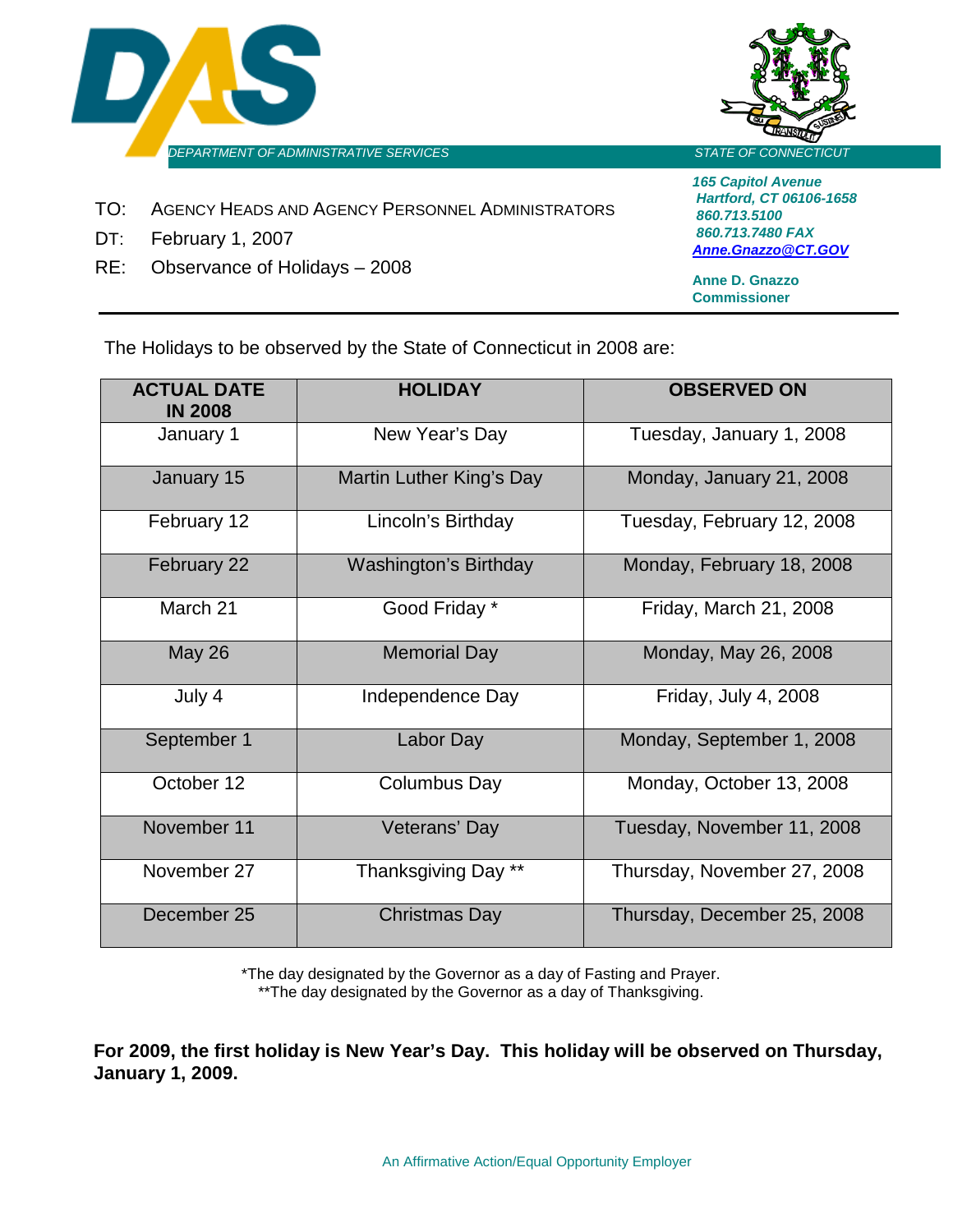



- TO: AGENCY HEADS AND AGENCY PERSONNEL ADMINISTRATORS
- DT: February 1, 2007
- RE: Observance of Holidays 2008

*165 Capitol Avenue Hartford, CT 06106-1658 860.713.5100 860.713.7480 FAX [Anne.Gnazzo@CT.GOV](mailto:Anne.Gnazzo@CT.GOV)*

**Anne D. Gnazzo Commissioner**

The Holidays to be observed by the State of Connecticut in 2008 are:

| <b>ACTUAL DATE</b><br><b>IN 2008</b> | <b>HOLIDAY</b>               | <b>OBSERVED ON</b>          |
|--------------------------------------|------------------------------|-----------------------------|
| January 1                            | New Year's Day               | Tuesday, January 1, 2008    |
| January 15                           | Martin Luther King's Day     | Monday, January 21, 2008    |
| February 12                          | Lincoln's Birthday           | Tuesday, February 12, 2008  |
| February 22                          | <b>Washington's Birthday</b> | Monday, February 18, 2008   |
| March 21                             | Good Friday *                | Friday, March 21, 2008      |
| <b>May 26</b>                        | <b>Memorial Day</b>          | Monday, May 26, 2008        |
| July 4                               | Independence Day             | Friday, July 4, 2008        |
| September 1                          | Labor Day                    | Monday, September 1, 2008   |
| October 12                           | Columbus Day                 | Monday, October 13, 2008    |
| November 11                          | Veterans' Day                | Tuesday, November 11, 2008  |
| November 27                          | Thanksgiving Day **          | Thursday, November 27, 2008 |
| December 25                          | <b>Christmas Day</b>         | Thursday, December 25, 2008 |

\*The day designated by the Governor as a day of Fasting and Prayer. \*\*The day designated by the Governor as a day of Thanksgiving.

**For 2009, the first holiday is New Year's Day. This holiday will be observed on Thursday, January 1, 2009.**